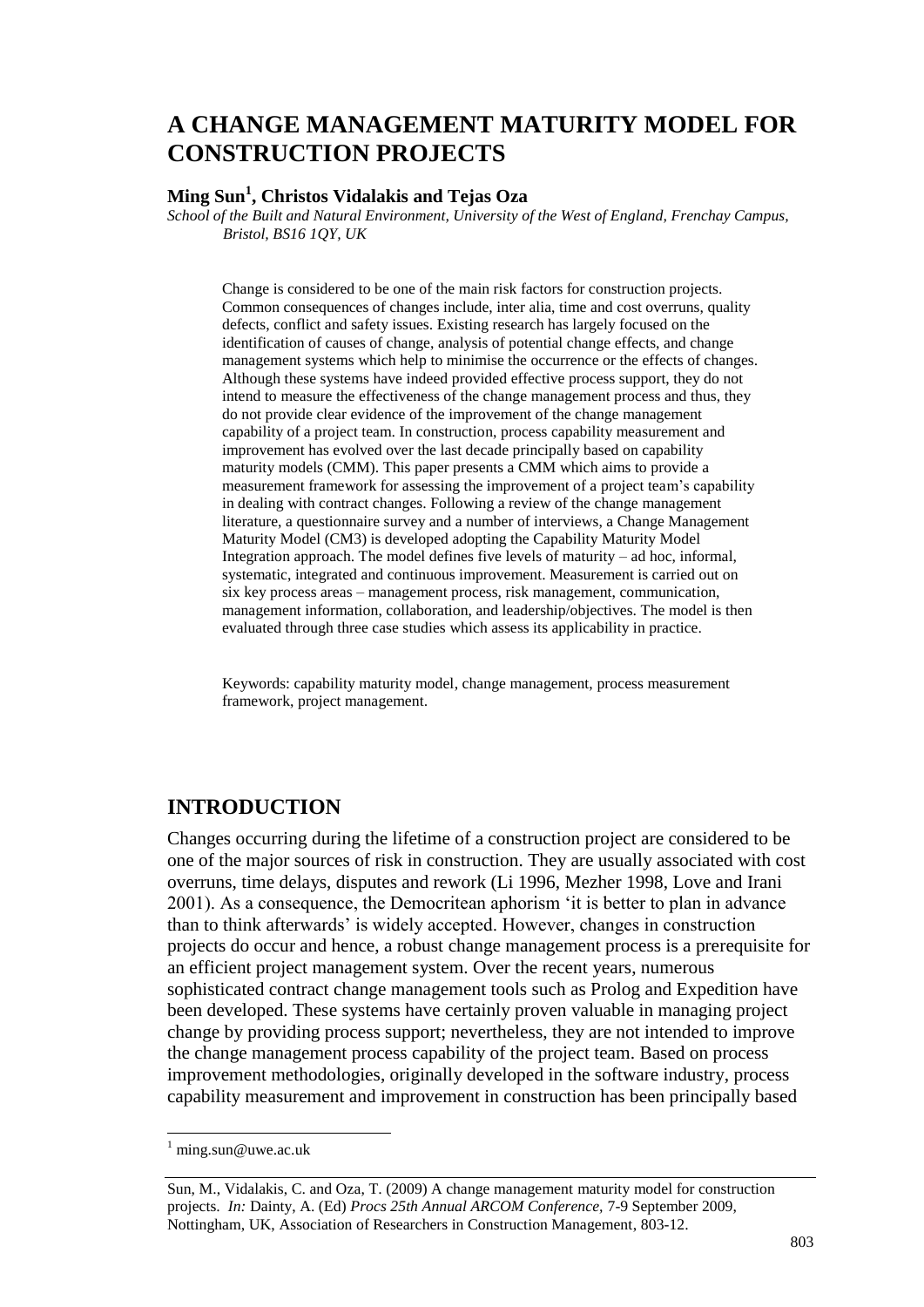# **A CHANGE MANAGEMENT MATURITY MODEL FOR CONSTRUCTION PROJECTS**

## **Ming Sun<sup>1</sup> , Christos Vidalakis and Tejas Oza**

*School of the Built and Natural Environment, University of the West of England, Frenchay Campus, Bristol, BS16 1QY, UK*

Change is considered to be one of the main risk factors for construction projects. Common consequences of changes include, inter alia, time and cost overruns, quality defects, conflict and safety issues. Existing research has largely focused on the identification of causes of change, analysis of potential change effects, and change management systems which help to minimise the occurrence or the effects of changes. Although these systems have indeed provided effective process support, they do not intend to measure the effectiveness of the change management process and thus, they do not provide clear evidence of the improvement of the change management capability of a project team. In construction, process capability measurement and improvement has evolved over the last decade principally based on capability maturity models (CMM). This paper presents a CMM which aims to provide a measurement framework for assessing the improvement of a project team"s capability in dealing with contract changes. Following a review of the change management literature, a questionnaire survey and a number of interviews, a Change Management Maturity Model (CM3) is developed adopting the Capability Maturity Model Integration approach. The model defines five levels of maturity – ad hoc, informal, systematic, integrated and continuous improvement. Measurement is carried out on six key process areas – management process, risk management, communication, management information, collaboration, and leadership/objectives. The model is then evaluated through three case studies which assess its applicability in practice.

Keywords: capability maturity model, change management, process measurement framework, project management.

## **INTRODUCTION**

Changes occurring during the lifetime of a construction project are considered to be one of the major sources of risk in construction. They are usually associated with cost overruns, time delays, disputes and rework (Li 1996, Mezher 1998, Love and Irani 2001). As a consequence, the Democritean aphorism "it is better to plan in advance than to think afterwards" is widely accepted. However, changes in construction projects do occur and hence, a robust change management process is a prerequisite for an efficient project management system. Over the recent years, numerous sophisticated contract change management tools such as Prolog and Expedition have been developed. These systems have certainly proven valuable in managing project change by providing process support; nevertheless, they are not intended to improve the change management process capability of the project team. Based on process improvement methodologies, originally developed in the software industry, process capability measurement and improvement in construction has been principally based

 $\overline{a}$ 

 $^{1}$  ming.sun@uwe.ac.uk

Sun, M., Vidalakis, C. and Oza, T. (2009) A change management maturity model for construction projects. *In:* Dainty, A. (Ed) *Procs 25th Annual ARCOM Conference,* 7-9 September 2009, Nottingham, UK, Association of Researchers in Construction Management, 803-12.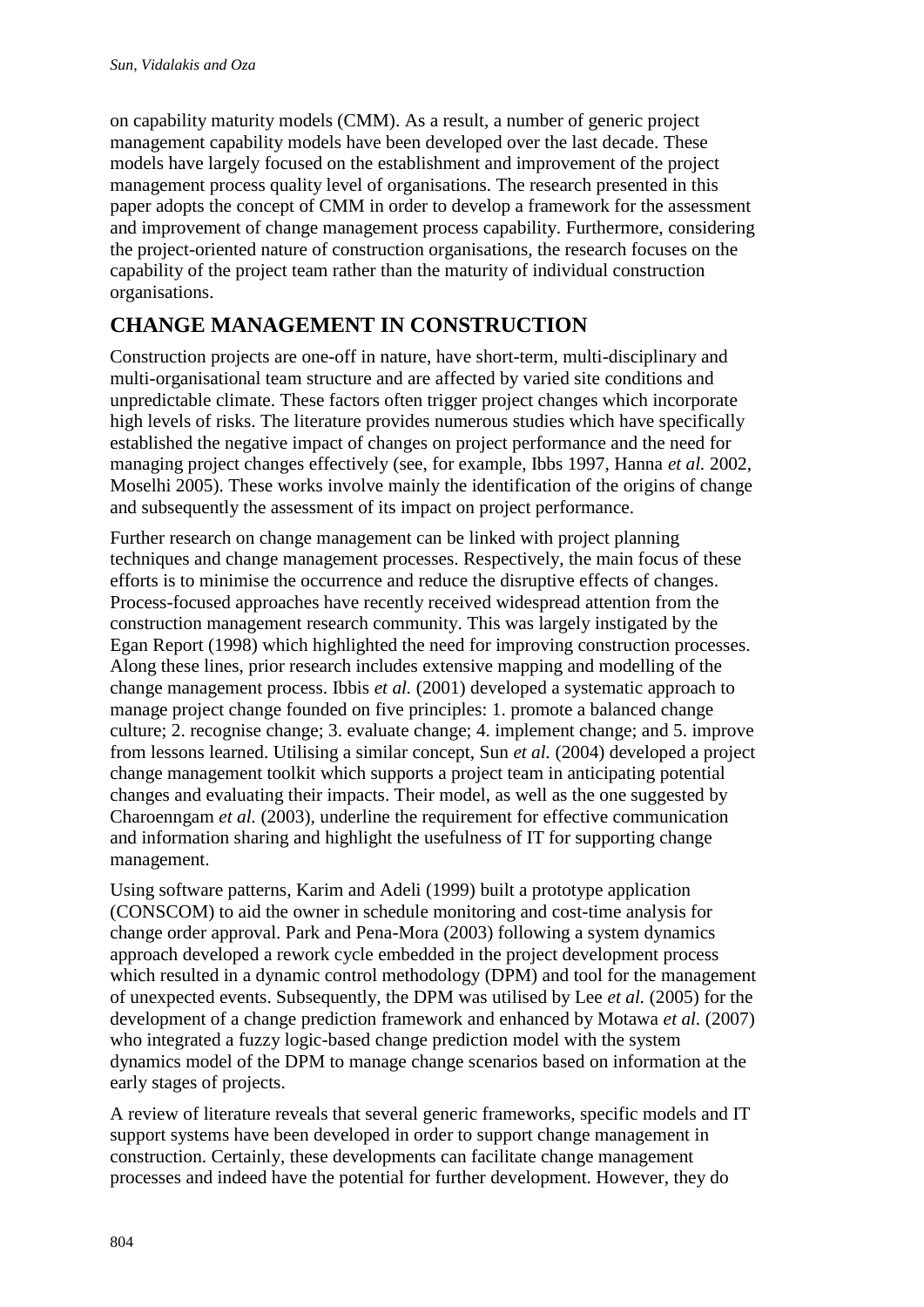on capability maturity models (CMM). As a result, a number of generic project management capability models have been developed over the last decade. These models have largely focused on the establishment and improvement of the project management process quality level of organisations. The research presented in this paper adopts the concept of CMM in order to develop a framework for the assessment and improvement of change management process capability. Furthermore, considering the project-oriented nature of construction organisations, the research focuses on the capability of the project team rather than the maturity of individual construction organisations.

# **CHANGE MANAGEMENT IN CONSTRUCTION**

Construction projects are one-off in nature, have short-term, multi-disciplinary and multi-organisational team structure and are affected by varied site conditions and unpredictable climate. These factors often trigger project changes which incorporate high levels of risks. The literature provides numerous studies which have specifically established the negative impact of changes on project performance and the need for managing project changes effectively (see, for example, Ibbs 1997, Hanna *et al.* 2002, Moselhi 2005). These works involve mainly the identification of the origins of change and subsequently the assessment of its impact on project performance.

Further research on change management can be linked with project planning techniques and change management processes. Respectively, the main focus of these efforts is to minimise the occurrence and reduce the disruptive effects of changes. Process-focused approaches have recently received widespread attention from the construction management research community. This was largely instigated by the Egan Report (1998) which highlighted the need for improving construction processes. Along these lines, prior research includes extensive mapping and modelling of the change management process. Ibbis *et al.* (2001) developed a systematic approach to manage project change founded on five principles: 1. promote a balanced change culture; 2. recognise change; 3. evaluate change; 4. implement change; and 5. improve from lessons learned. Utilising a similar concept, Sun *et al.* (2004) developed a project change management toolkit which supports a project team in anticipating potential changes and evaluating their impacts. Their model, as well as the one suggested by Charoenngam *et al.* (2003), underline the requirement for effective communication and information sharing and highlight the usefulness of IT for supporting change management.

Using software patterns, Karim and Adeli (1999) built a prototype application (CONSCOM) to aid the owner in schedule monitoring and cost-time analysis for change order approval. Park and Pena-Mora (2003) following a system dynamics approach developed a rework cycle embedded in the project development process which resulted in a dynamic control methodology (DPM) and tool for the management of unexpected events. Subsequently, the DPM was utilised by Lee *et al.* (2005) for the development of a change prediction framework and enhanced by Motawa *et al.* (2007) who integrated a fuzzy logic-based change prediction model with the system dynamics model of the DPM to manage change scenarios based on information at the early stages of projects.

A review of literature reveals that several generic frameworks, specific models and IT support systems have been developed in order to support change management in construction. Certainly, these developments can facilitate change management processes and indeed have the potential for further development. However, they do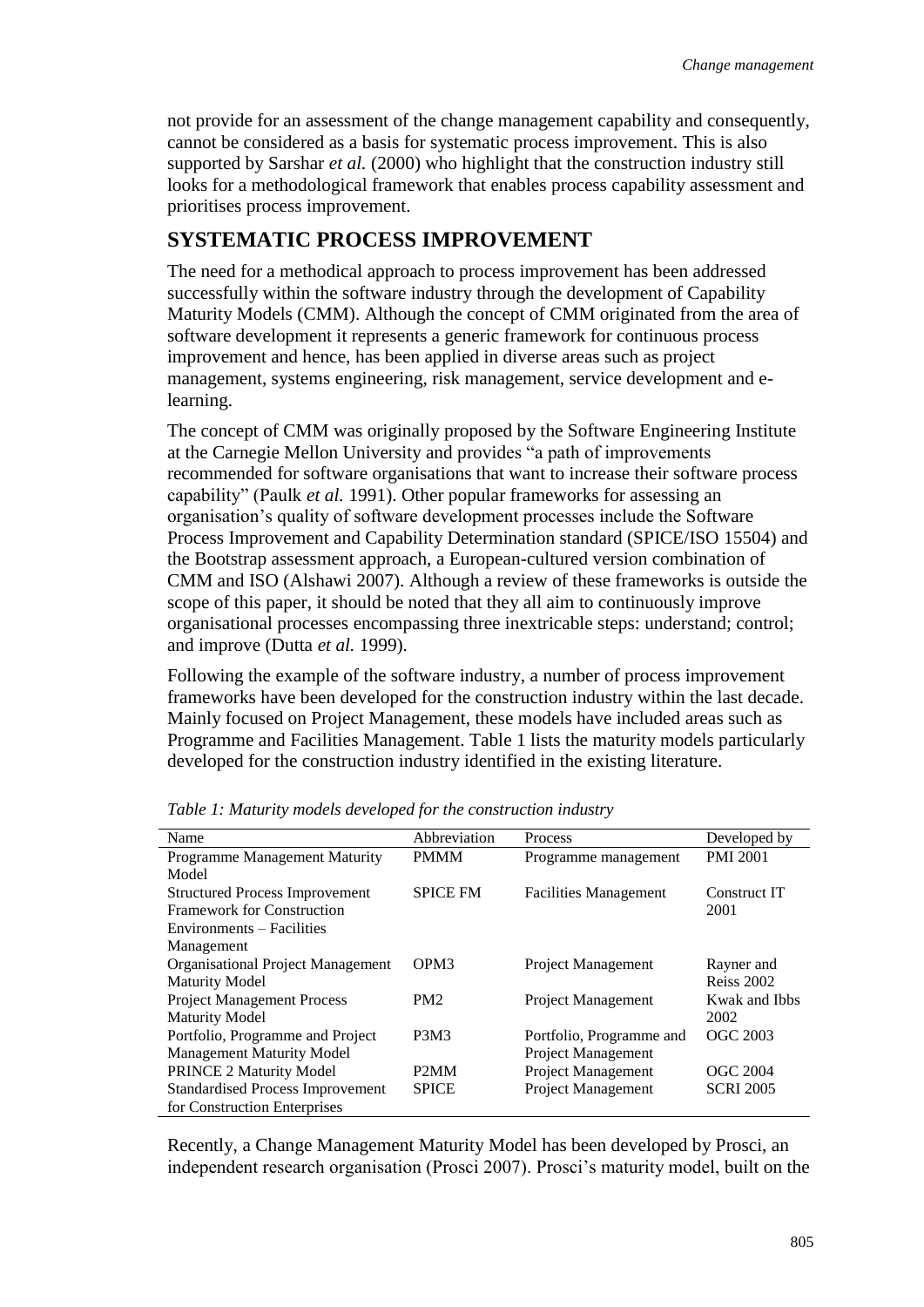not provide for an assessment of the change management capability and consequently, cannot be considered as a basis for systematic process improvement. This is also supported by Sarshar *et al.* (2000) who highlight that the construction industry still looks for a methodological framework that enables process capability assessment and prioritises process improvement.

## **SYSTEMATIC PROCESS IMPROVEMENT**

The need for a methodical approach to process improvement has been addressed successfully within the software industry through the development of Capability Maturity Models (CMM). Although the concept of CMM originated from the area of software development it represents a generic framework for continuous process improvement and hence, has been applied in diverse areas such as project management, systems engineering, risk management, service development and elearning.

The concept of CMM was originally proposed by the Software Engineering Institute at the Carnegie Mellon University and provides "a path of improvements recommended for software organisations that want to increase their software process capability" (Paulk *et al.* 1991). Other popular frameworks for assessing an organisation"s quality of software development processes include the Software Process Improvement and Capability Determination standard (SPICE/ISO 15504) and the Bootstrap assessment approach, a European-cultured version combination of CMM and ISO (Alshawi 2007). Although a review of these frameworks is outside the scope of this paper, it should be noted that they all aim to continuously improve organisational processes encompassing three inextricable steps: understand; control; and improve (Dutta *et al.* 1999).

Following the example of the software industry, a number of process improvement frameworks have been developed for the construction industry within the last decade. Mainly focused on Project Management, these models have included areas such as Programme and Facilities Management. Table 1 lists the maturity models particularly developed for the construction industry identified in the existing literature.

| Name                                     | Abbreviation    | Process                      | Developed by      |
|------------------------------------------|-----------------|------------------------------|-------------------|
| <b>Programme Management Maturity</b>     | <b>PMMM</b>     | Programme management         | <b>PMI 2001</b>   |
| Model                                    |                 |                              |                   |
| <b>Structured Process Improvement</b>    | <b>SPICE FM</b> | <b>Facilities Management</b> | Construct IT      |
| Framework for Construction               |                 |                              | 2001              |
| Environments – Facilities                |                 |                              |                   |
| Management                               |                 |                              |                   |
| <b>Organisational Project Management</b> | OPM3            | Project Management           | Rayner and        |
| <b>Maturity Model</b>                    |                 |                              | <b>Reiss 2002</b> |
| <b>Project Management Process</b>        | PM2             | Project Management           | Kwak and Ibbs     |
| <b>Maturity Model</b>                    |                 |                              | 2002              |
| Portfolio, Programme and Project         | <b>P3M3</b>     | Portfolio, Programme and     | OGC 2003          |
| <b>Management Maturity Model</b>         |                 | Project Management           |                   |
| PRINCE 2 Maturity Model                  | P2MM            | Project Management           | OGC 2004          |
| <b>Standardised Process Improvement</b>  | <b>SPICE</b>    | <b>Project Management</b>    | <b>SCRI 2005</b>  |
| for Construction Enterprises             |                 |                              |                   |

*Table 1: Maturity models developed for the construction industry*

Recently, a Change Management Maturity Model has been developed by Prosci, an independent research organisation (Prosci 2007). Prosci"s maturity model, built on the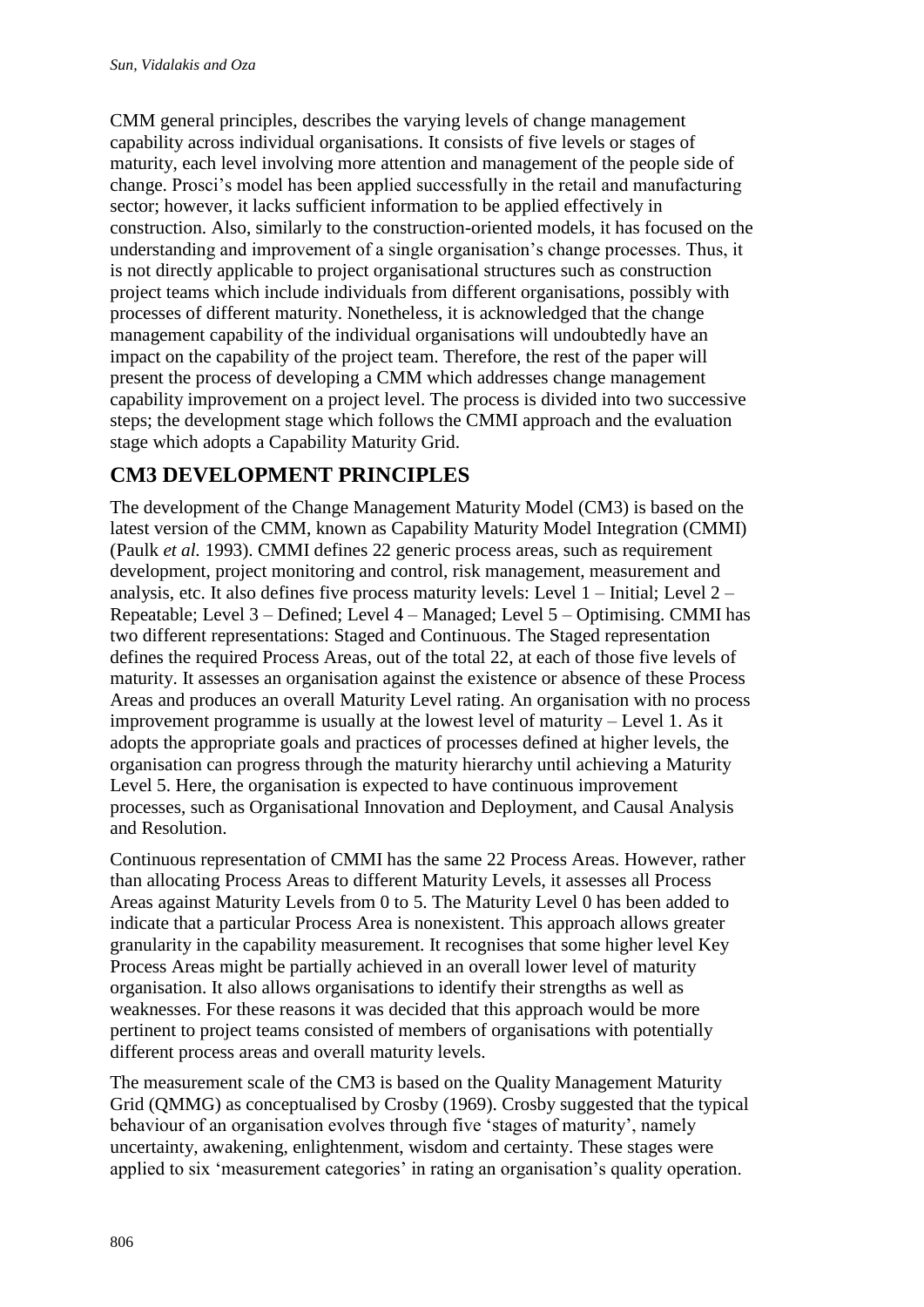CMM general principles, describes the varying levels of change management capability across individual organisations. It consists of five levels or stages of maturity, each level involving more attention and management of the people side of change. Prosci"s model has been applied successfully in the retail and manufacturing sector; however, it lacks sufficient information to be applied effectively in construction. Also, similarly to the construction-oriented models, it has focused on the understanding and improvement of a single organisation"s change processes. Thus, it is not directly applicable to project organisational structures such as construction project teams which include individuals from different organisations, possibly with processes of different maturity. Nonetheless, it is acknowledged that the change management capability of the individual organisations will undoubtedly have an impact on the capability of the project team. Therefore, the rest of the paper will present the process of developing a CMM which addresses change management capability improvement on a project level. The process is divided into two successive steps; the development stage which follows the CMMI approach and the evaluation stage which adopts a Capability Maturity Grid.

## **CM3 DEVELOPMENT PRINCIPLES**

The development of the Change Management Maturity Model (CM3) is based on the latest version of the CMM, known as Capability Maturity Model Integration (CMMI) (Paulk *et al.* 1993). CMMI defines 22 generic process areas, such as requirement development, project monitoring and control, risk management, measurement and analysis, etc. It also defines five process maturity levels: Level 1 – Initial; Level 2 – Repeatable; Level 3 – Defined; Level 4 – Managed; Level 5 – Optimising. CMMI has two different representations: Staged and Continuous. The Staged representation defines the required Process Areas, out of the total 22, at each of those five levels of maturity. It assesses an organisation against the existence or absence of these Process Areas and produces an overall Maturity Level rating. An organisation with no process improvement programme is usually at the lowest level of maturity – Level 1. As it adopts the appropriate goals and practices of processes defined at higher levels, the organisation can progress through the maturity hierarchy until achieving a Maturity Level 5. Here, the organisation is expected to have continuous improvement processes, such as Organisational Innovation and Deployment, and Causal Analysis and Resolution.

Continuous representation of CMMI has the same 22 Process Areas. However, rather than allocating Process Areas to different Maturity Levels, it assesses all Process Areas against Maturity Levels from 0 to 5. The Maturity Level 0 has been added to indicate that a particular Process Area is nonexistent. This approach allows greater granularity in the capability measurement. It recognises that some higher level Key Process Areas might be partially achieved in an overall lower level of maturity organisation. It also allows organisations to identify their strengths as well as weaknesses. For these reasons it was decided that this approach would be more pertinent to project teams consisted of members of organisations with potentially different process areas and overall maturity levels.

The measurement scale of the CM3 is based on the Quality Management Maturity Grid (QMMG) as conceptualised by Crosby (1969). Crosby suggested that the typical behaviour of an organisation evolves through five "stages of maturity", namely uncertainty, awakening, enlightenment, wisdom and certainty. These stages were applied to six 'measurement categories' in rating an organisation's quality operation.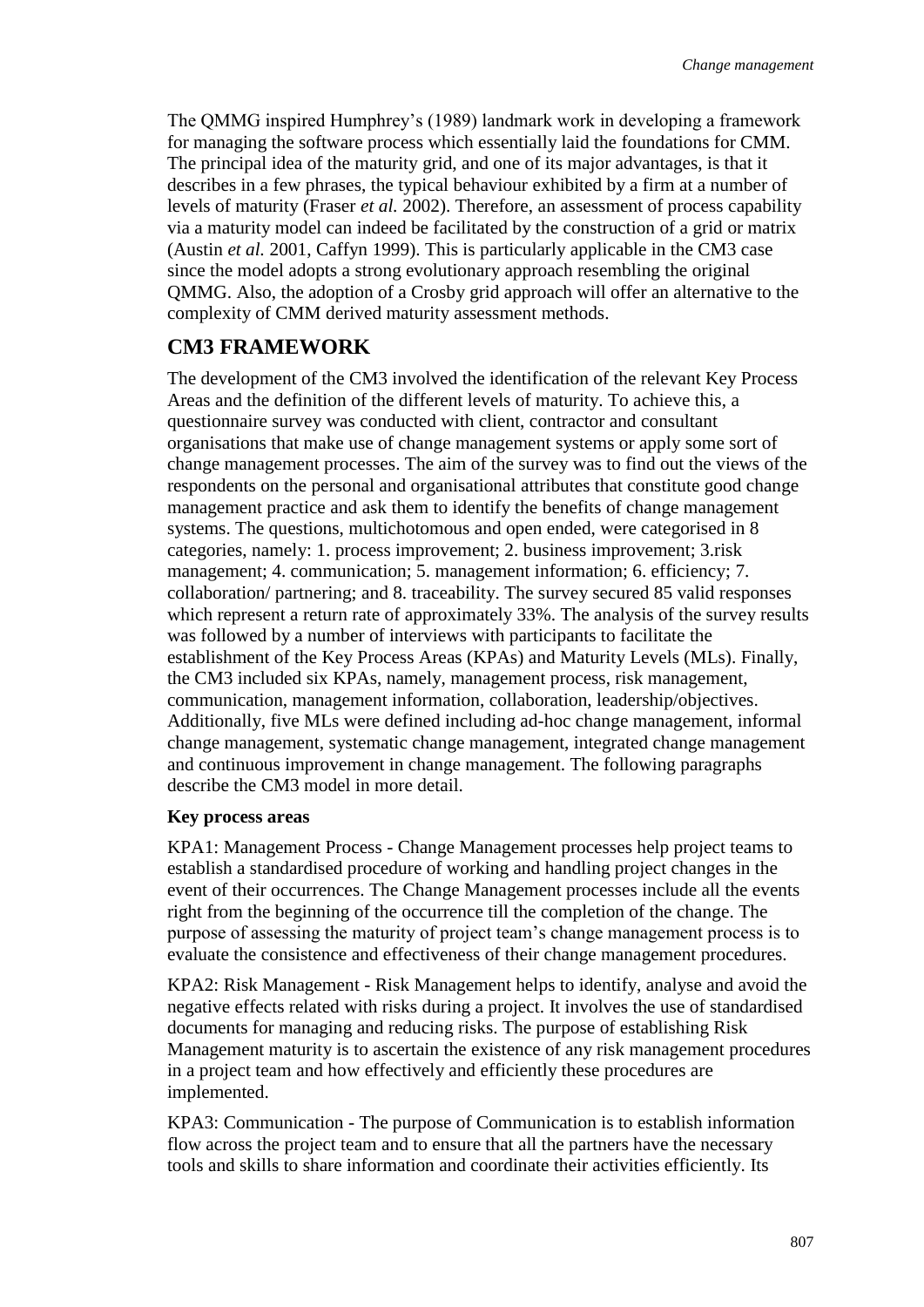The QMMG inspired Humphrey"s (1989) landmark work in developing a framework for managing the software process which essentially laid the foundations for CMM. The principal idea of the maturity grid, and one of its major advantages, is that it describes in a few phrases, the typical behaviour exhibited by a firm at a number of levels of maturity (Fraser *et al.* 2002). Therefore, an assessment of process capability via a maturity model can indeed be facilitated by the construction of a grid or matrix (Austin *et al.* 2001, Caffyn 1999). This is particularly applicable in the CM3 case since the model adopts a strong evolutionary approach resembling the original QMMG. Also, the adoption of a Crosby grid approach will offer an alternative to the complexity of CMM derived maturity assessment methods.

## **CM3 FRAMEWORK**

The development of the CM3 involved the identification of the relevant Key Process Areas and the definition of the different levels of maturity. To achieve this, a questionnaire survey was conducted with client, contractor and consultant organisations that make use of change management systems or apply some sort of change management processes. The aim of the survey was to find out the views of the respondents on the personal and organisational attributes that constitute good change management practice and ask them to identify the benefits of change management systems. The questions, multichotomous and open ended, were categorised in 8 categories, namely: 1. process improvement; 2. business improvement; 3.risk management; 4. communication; 5. management information; 6. efficiency; 7. collaboration/ partnering; and 8. traceability. The survey secured 85 valid responses which represent a return rate of approximately 33%. The analysis of the survey results was followed by a number of interviews with participants to facilitate the establishment of the Key Process Areas (KPAs) and Maturity Levels (MLs). Finally, the CM3 included six KPAs, namely, management process, risk management, communication, management information, collaboration, leadership/objectives. Additionally, five MLs were defined including ad-hoc change management, informal change management, systematic change management, integrated change management and continuous improvement in change management. The following paragraphs describe the CM3 model in more detail.

#### **Key process areas**

KPA1: Management Process - Change Management processes help project teams to establish a standardised procedure of working and handling project changes in the event of their occurrences. The Change Management processes include all the events right from the beginning of the occurrence till the completion of the change. The purpose of assessing the maturity of project team"s change management process is to evaluate the consistence and effectiveness of their change management procedures.

KPA2: Risk Management - Risk Management helps to identify, analyse and avoid the negative effects related with risks during a project. It involves the use of standardised documents for managing and reducing risks. The purpose of establishing Risk Management maturity is to ascertain the existence of any risk management procedures in a project team and how effectively and efficiently these procedures are implemented.

KPA3: Communication - The purpose of Communication is to establish information flow across the project team and to ensure that all the partners have the necessary tools and skills to share information and coordinate their activities efficiently. Its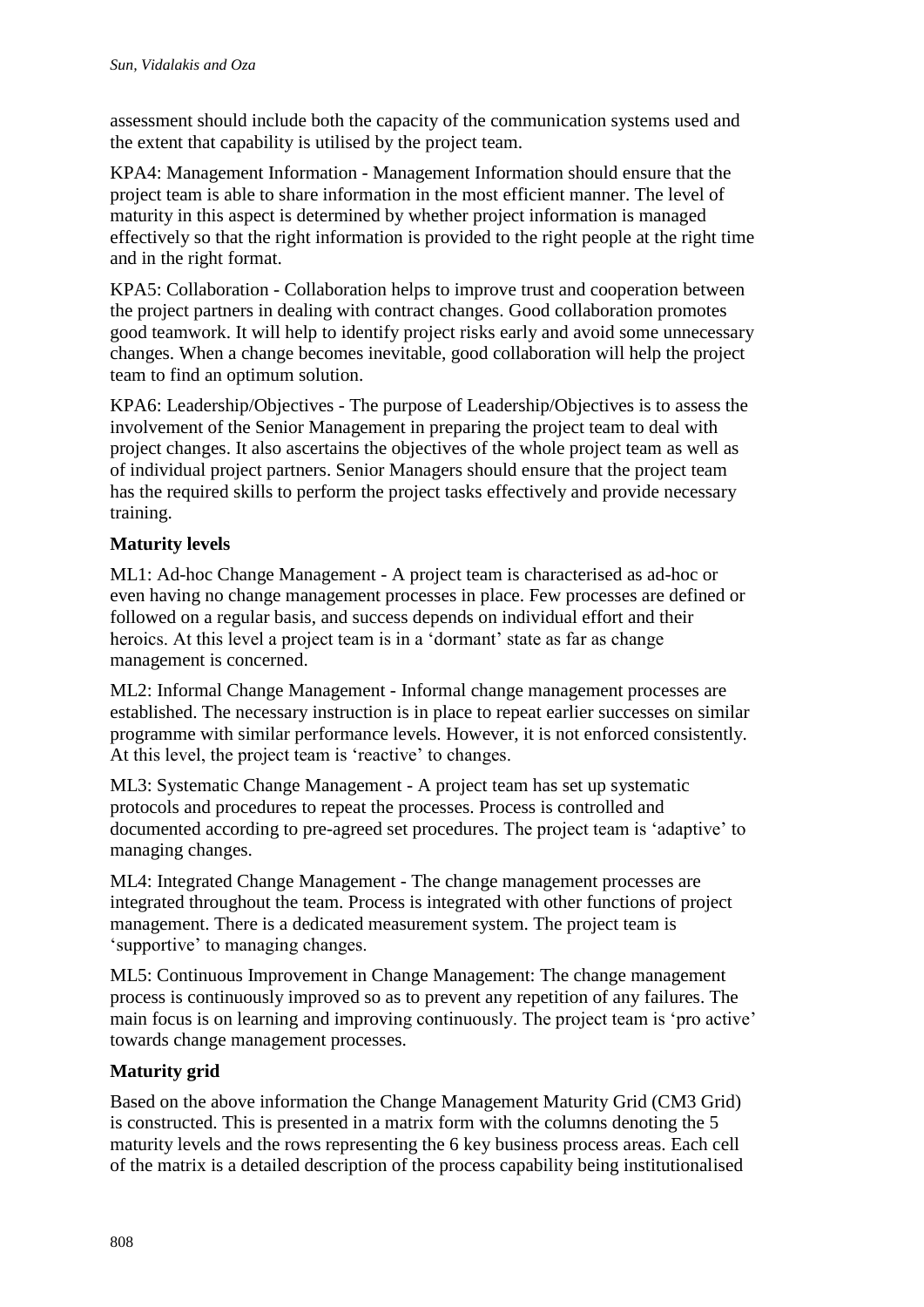assessment should include both the capacity of the communication systems used and the extent that capability is utilised by the project team.

KPA4: Management Information - Management Information should ensure that the project team is able to share information in the most efficient manner. The level of maturity in this aspect is determined by whether project information is managed effectively so that the right information is provided to the right people at the right time and in the right format.

KPA5: Collaboration - Collaboration helps to improve trust and cooperation between the project partners in dealing with contract changes. Good collaboration promotes good teamwork. It will help to identify project risks early and avoid some unnecessary changes. When a change becomes inevitable, good collaboration will help the project team to find an optimum solution.

KPA6: Leadership/Objectives - The purpose of Leadership/Objectives is to assess the involvement of the Senior Management in preparing the project team to deal with project changes. It also ascertains the objectives of the whole project team as well as of individual project partners. Senior Managers should ensure that the project team has the required skills to perform the project tasks effectively and provide necessary training.

### **Maturity levels**

ML1: Ad-hoc Change Management - A project team is characterised as ad-hoc or even having no change management processes in place. Few processes are defined or followed on a regular basis, and success depends on individual effort and their heroics. At this level a project team is in a 'dormant' state as far as change management is concerned.

ML2: Informal Change Management - Informal change management processes are established. The necessary instruction is in place to repeat earlier successes on similar programme with similar performance levels. However, it is not enforced consistently. At this level, the project team is 'reactive' to changes.

ML3: Systematic Change Management - A project team has set up systematic protocols and procedures to repeat the processes. Process is controlled and documented according to pre-agreed set procedures. The project team is "adaptive" to managing changes.

ML4: Integrated Change Management - The change management processes are integrated throughout the team. Process is integrated with other functions of project management. There is a dedicated measurement system. The project team is "supportive" to managing changes.

ML5: Continuous Improvement in Change Management: The change management process is continuously improved so as to prevent any repetition of any failures. The main focus is on learning and improving continuously. The project team is "pro active" towards change management processes.

### **Maturity grid**

Based on the above information the Change Management Maturity Grid (CM3 Grid) is constructed. This is presented in a matrix form with the columns denoting the 5 maturity levels and the rows representing the 6 key business process areas. Each cell of the matrix is a detailed description of the process capability being institutionalised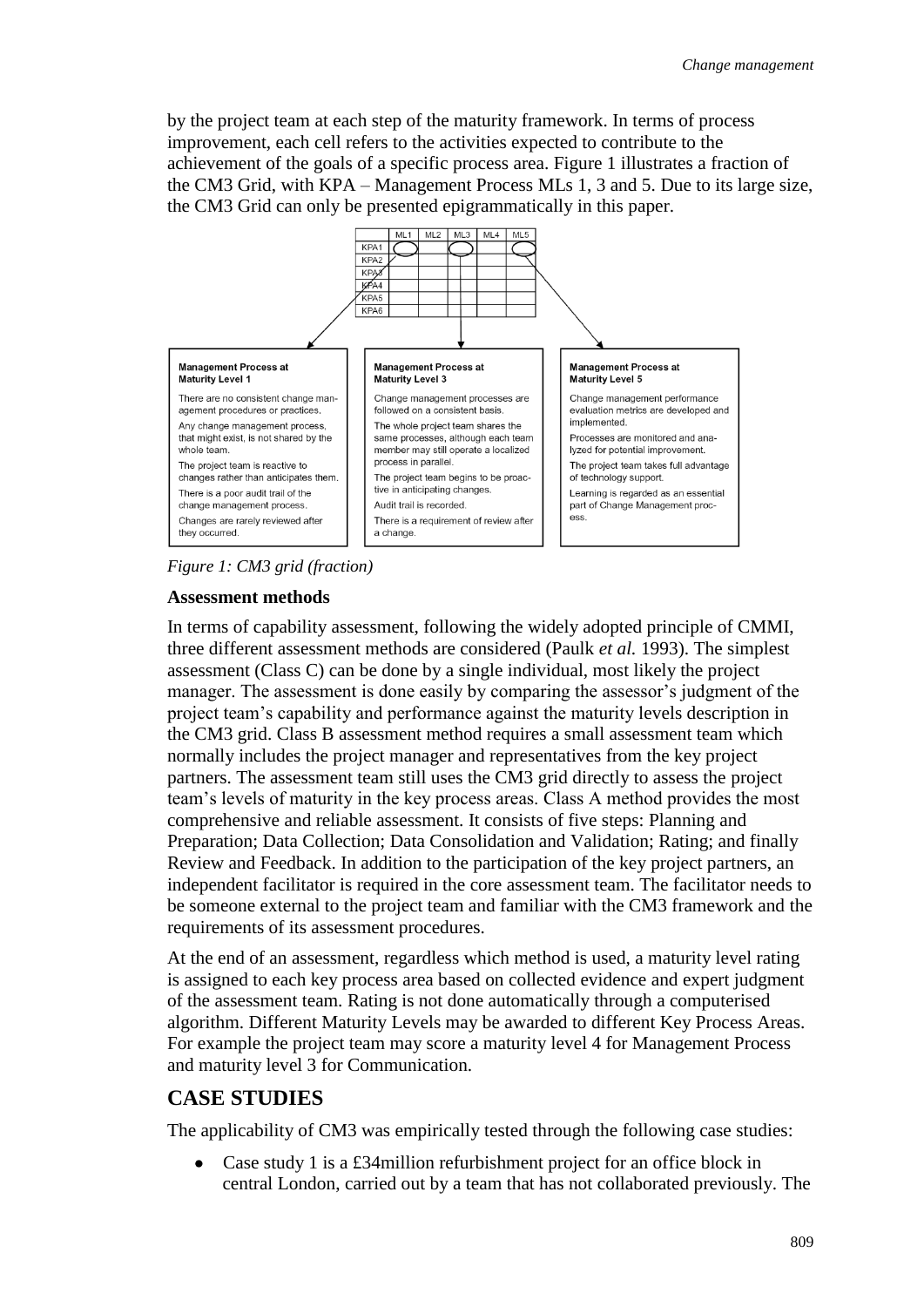by the project team at each step of the maturity framework. In terms of process improvement, each cell refers to the activities expected to contribute to the achievement of the goals of a specific process area. Figure 1 illustrates a fraction of the CM3 Grid, with KPA – Management Process MLs 1, 3 and 5. Due to its large size, the CM3 Grid can only be presented epigrammatically in this paper.



*Figure 1: CM3 grid (fraction)*

#### **Assessment methods**

In terms of capability assessment, following the widely adopted principle of CMMI, three different assessment methods are considered (Paulk *et al.* 1993). The simplest assessment (Class C) can be done by a single individual, most likely the project manager. The assessment is done easily by comparing the assessor's judgment of the project team"s capability and performance against the maturity levels description in the CM3 grid. Class B assessment method requires a small assessment team which normally includes the project manager and representatives from the key project partners. The assessment team still uses the CM3 grid directly to assess the project team"s levels of maturity in the key process areas. Class A method provides the most comprehensive and reliable assessment. It consists of five steps: Planning and Preparation; Data Collection; Data Consolidation and Validation; Rating; and finally Review and Feedback. In addition to the participation of the key project partners, an independent facilitator is required in the core assessment team. The facilitator needs to be someone external to the project team and familiar with the CM3 framework and the requirements of its assessment procedures.

At the end of an assessment, regardless which method is used, a maturity level rating is assigned to each key process area based on collected evidence and expert judgment of the assessment team. Rating is not done automatically through a computerised algorithm. Different Maturity Levels may be awarded to different Key Process Areas. For example the project team may score a maturity level 4 for Management Process and maturity level 3 for Communication.

## **CASE STUDIES**

The applicability of CM3 was empirically tested through the following case studies:

Case study 1 is a £34million refurbishment project for an office block in central London, carried out by a team that has not collaborated previously. The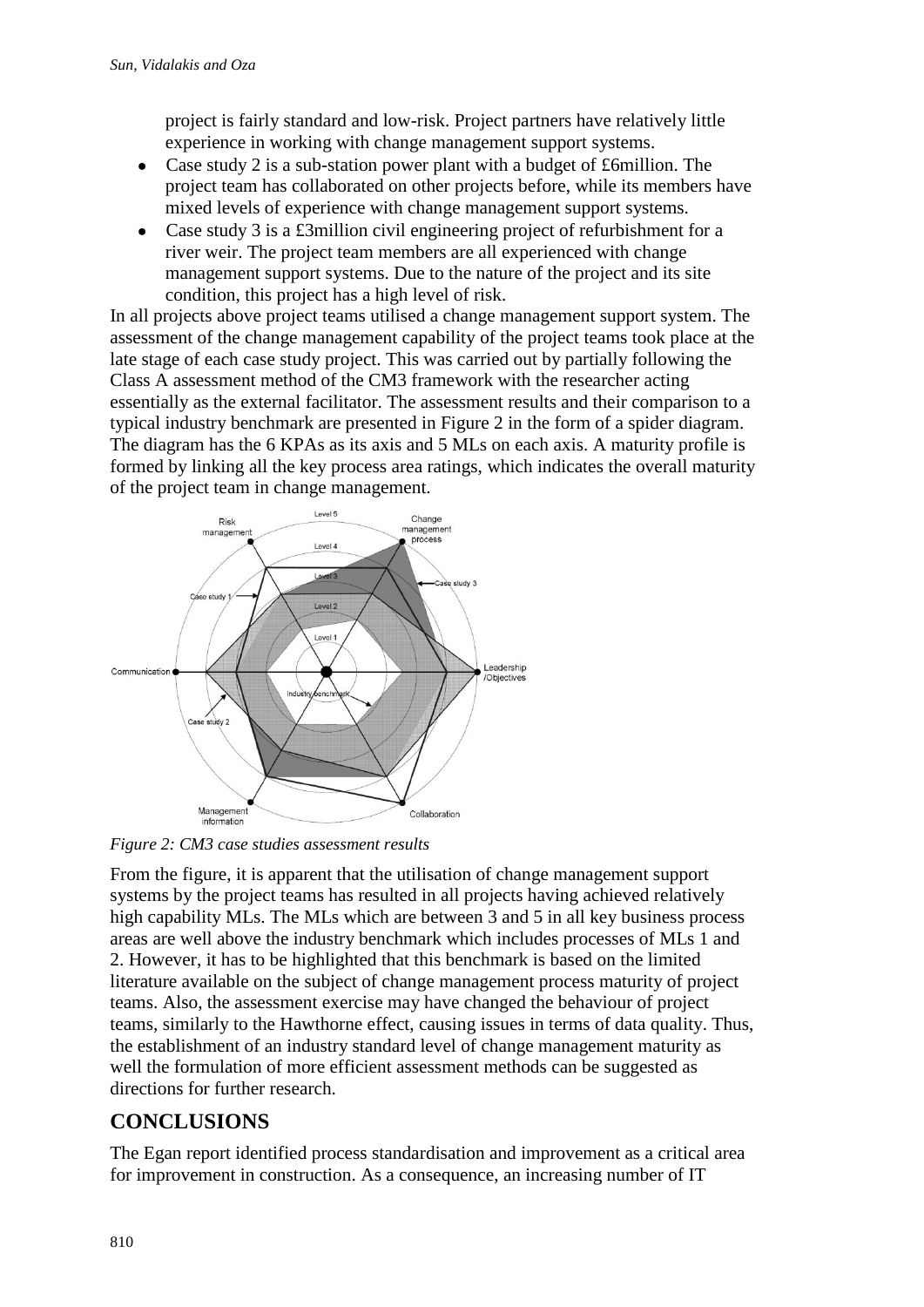project is fairly standard and low-risk. Project partners have relatively little experience in working with change management support systems.

- Case study 2 is a sub-station power plant with a budget of £6million. The  $\bullet$ project team has collaborated on other projects before, while its members have mixed levels of experience with change management support systems.
- Case study 3 is a £3million civil engineering project of refurbishment for a  $\bullet$ river weir. The project team members are all experienced with change management support systems. Due to the nature of the project and its site condition, this project has a high level of risk.

In all projects above project teams utilised a change management support system. The assessment of the change management capability of the project teams took place at the late stage of each case study project. This was carried out by partially following the Class A assessment method of the CM3 framework with the researcher acting essentially as the external facilitator. The assessment results and their comparison to a typical industry benchmark are presented in Figure 2 in the form of a spider diagram. The diagram has the 6 KPAs as its axis and 5 MLs on each axis. A maturity profile is formed by linking all the key process area ratings, which indicates the overall maturity of the project team in change management.



*Figure 2: CM3 case studies assessment results*

From the figure, it is apparent that the utilisation of change management support systems by the project teams has resulted in all projects having achieved relatively high capability MLs. The MLs which are between 3 and 5 in all key business process areas are well above the industry benchmark which includes processes of MLs 1 and 2. However, it has to be highlighted that this benchmark is based on the limited literature available on the subject of change management process maturity of project teams. Also, the assessment exercise may have changed the behaviour of project teams, similarly to the Hawthorne effect, causing issues in terms of data quality. Thus, the establishment of an industry standard level of change management maturity as well the formulation of more efficient assessment methods can be suggested as directions for further research.

# **CONCLUSIONS**

The Egan report identified process standardisation and improvement as a critical area for improvement in construction. As a consequence, an increasing number of IT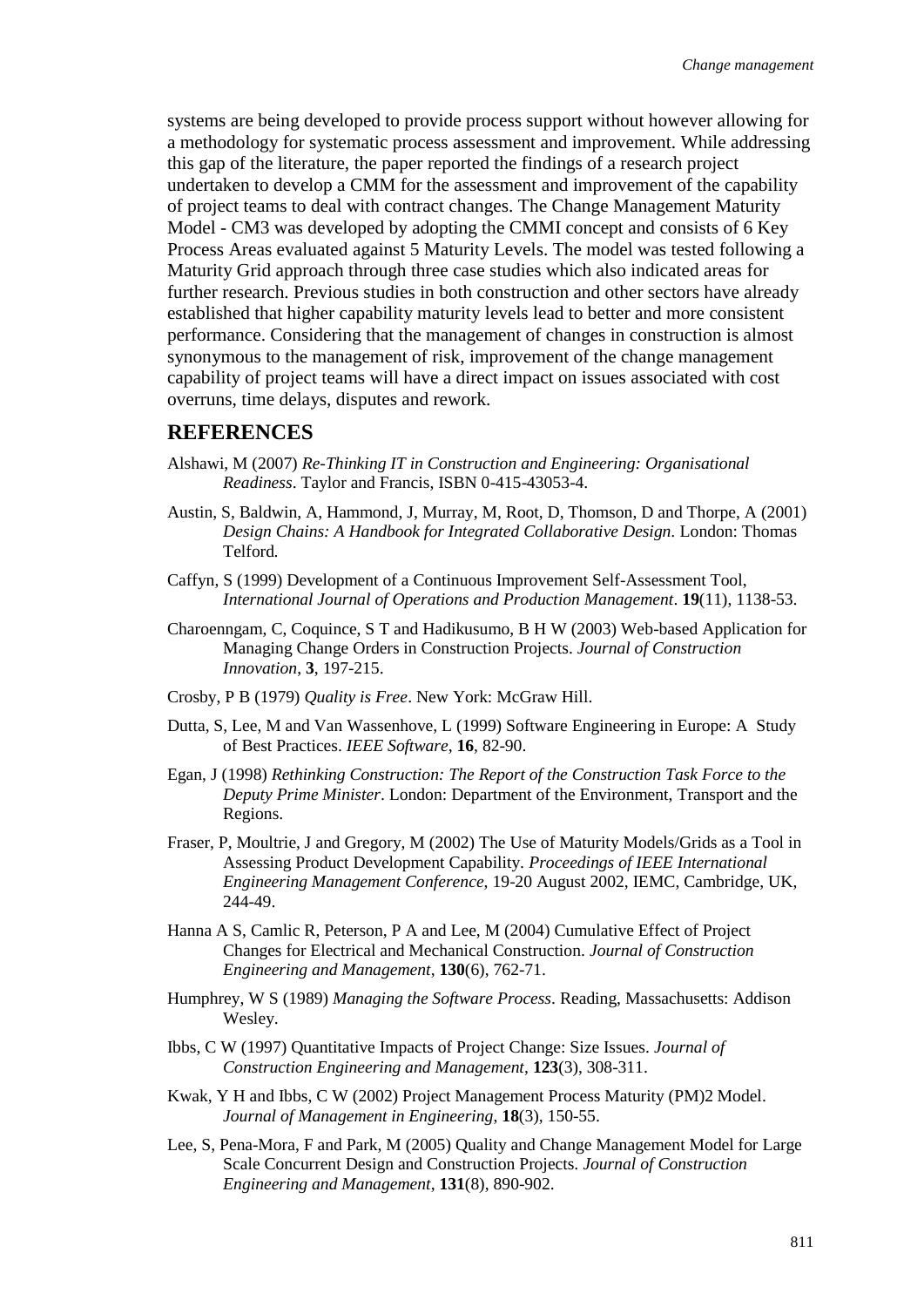systems are being developed to provide process support without however allowing for a methodology for systematic process assessment and improvement. While addressing this gap of the literature, the paper reported the findings of a research project undertaken to develop a CMM for the assessment and improvement of the capability of project teams to deal with contract changes. The Change Management Maturity Model - CM3 was developed by adopting the CMMI concept and consists of 6 Key Process Areas evaluated against 5 Maturity Levels. The model was tested following a Maturity Grid approach through three case studies which also indicated areas for further research. Previous studies in both construction and other sectors have already established that higher capability maturity levels lead to better and more consistent performance. Considering that the management of changes in construction is almost synonymous to the management of risk, improvement of the change management capability of project teams will have a direct impact on issues associated with cost overruns, time delays, disputes and rework.

#### **REFERENCES**

- Alshawi, M (2007) *Re-Thinking IT in Construction and Engineering: Organisational Readiness*. Taylor and Francis, ISBN 0-415-43053-4.
- Austin, S, Baldwin, A, Hammond, J, Murray, M, Root, D, Thomson, D and Thorpe, A (2001) *Design Chains: A Handbook for Integrated Collaborative Design.* London: Thomas Telford*.*
- Caffyn, S (1999) Development of a Continuous Improvement Self-Assessment Tool, *International Journal of Operations and Production Management*. **19**(11), 1138-53.
- Charoenngam, C, Coquince, S T and Hadikusumo, B H W (2003) Web-based Application for Managing Change Orders in Construction Projects. *Journal of Construction Innovation*, **3**, 197-215.
- Crosby, P B (1979) *Quality is Free*. New York: McGraw Hill.
- Dutta, S, Lee, M and Van Wassenhove, L (1999) Software Engineering in Europe: A Study of Best Practices. *IEEE Software*, **16**, 82-90.
- Egan, J (1998) *Rethinking Construction: The Report of the Construction Task Force to the Deputy Prime Minister*. London: Department of the Environment, Transport and the Regions.
- Fraser, P, Moultrie, J and Gregory, M (2002) The Use of Maturity Models/Grids as a Tool in Assessing Product Development Capability. *Proceedings of IEEE International Engineering Management Conference*, 19-20 August 2002, IEMC, Cambridge, UK, 244-49.
- Hanna A S, Camlic R, Peterson, P A and Lee, M (2004) Cumulative Effect of Project Changes for Electrical and Mechanical Construction. *Journal of Construction Engineering and Management*, **130**(6), 762-71.
- Humphrey, W S (1989) *Managing the Software Process*. Reading, Massachusetts: Addison Wesley.
- Ibbs, C W (1997) Quantitative Impacts of Project Change: Size Issues. *Journal of Construction Engineering and Management*, **123**(3), 308-311.
- Kwak, Y H and Ibbs, C W (2002) Project Management Process Maturity (PM)2 Model. *Journal of Management in Engineering*, **18**(3), 150-55.
- Lee, S, Pena-Mora, F and Park, M (2005) Quality and Change Management Model for Large Scale Concurrent Design and Construction Projects. *Journal of Construction Engineering and Management*, **131**(8), 890-902.